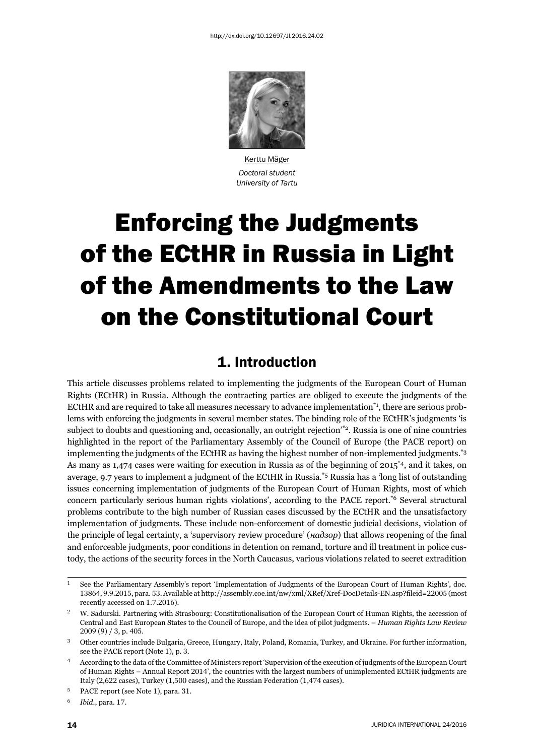

Kerttu Mäger *Doctoral student University of Tartu*

# Enforcing the Judgments of the ECtHR in Russia in Light of the Amendments to the Law on the Constitutional Court

## 1. Introduction

This article discusses problems related to implementing the judgments of the European Court of Human Rights (ECtHR) in Russia. Although the contracting parties are obliged to execute the judgments of the ECtHR and are required to take all measures necessary to advance implementation $i_1$ , there are serious problems with enforcing the judgments in several member states. The binding role of the ECtHR's judgments 'is subject to doubts and questioning and, occasionally, an outright rejection'\*2. Russia is one of nine countries highlighted in the report of the Parliamentary Assembly of the Council of Europe (the PACE report) on implementing the judgments of the ECtHR as having the highest number of non-implemented judgments.\*3 As many as 1,474 cases were waiting for execution in Russia as of the beginning of 2015<sup>\*4</sup>, and it takes, on average, 9.7 years to implement a judgment of the ECtHR in Russia.\*5 Russia has a 'long list of outstanding issues concerning implementation of judgments of the European Court of Human Rights, most of which concern particularly serious human rights violations', according to the PACE report.\*6 Several structural problems contribute to the high number of Russian cases discussed by the ECtHR and the unsatisfactory implementation of judgments. These include non-enforcement of domestic judicial decisions, violation of the principle of legal certainty, a 'supervisory review procedure' (*надзор*) that allows reopening of the final and enforceable judgments, poor conditions in detention on remand, torture and ill treatment in police custody, the actions of the security forces in the North Caucasus, various violations related to secret extradition

<sup>6</sup> *Ibid.*, para. 17.

See the Parliamentary Assembly's report 'Implementation of Judgments of the European Court of Human Rights', doc. 13864, 9.9.2015, para. 53. Available at http://assembly.coe.int/nw/xml/XRef/Xref-DocDetails-EN.asp?fileid=22005 (most recently accessed on 1.7.2016).

<sup>ɳ</sup> W. Sadurski. Partnering with Strasbourg: Constitutionalisation of the European Court of Human Rights, the accession of Central and East European States to the Council of Europe, and the idea of pilot judgments. – *Human Rights Law Review* 2009 (9) / 3, p. 405.

<sup>ɴ</sup> Other countries include Bulgaria, Greece, Hungary, Italy, Poland, Romania, Turkey, and Ukraine. For further information, see the PACE report (Note 1), p. 3.

<sup>ɵ</sup> According to the data of the Committee of Ministers report 'Supervision of the execution of judgments of the European Court of Human Rights – Annual Report 2014', the countries with the largest numbers of unimplemented ECtHR judgments are Italy (2,622 cases), Turkey (1,500 cases), and the Russian Federation (1,474 cases).

<sup>&</sup>lt;sup>5</sup> PACE report (see Note 1), para. 31.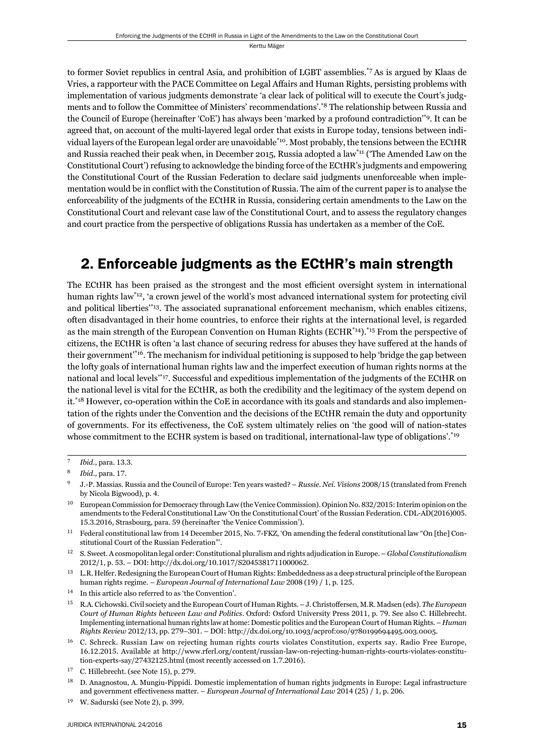to former Soviet republics in central Asia, and prohibition of LGBT assemblies.\*7 As is argued by Klaas de Vries, a rapporteur with the PACE Committee on Legal Affairs and Human Rights, persisting problems with implementation of various judgments demonstrate 'a clear lack of political will to execute the Court's judgments and to follow the Committee of Ministers' recommendations'.\*8 The relationship between Russia and the Council of Europe (hereinafter 'CoE') has always been 'marked by a profound contradiction'\*9. It can be agreed that, on account of the multi-layered legal order that exists in Europe today, tensions between individual layers of the European legal order are unavoidable<sup>\*10</sup>. Most probably, the tensions between the ECtHR and Russia reached their peak when, in December 2015, Russia adopted a law\*11 ('The Amended Law on the Constitutional Court') refusing to acknowledge the binding force of the ECtHR's judgments and empowering the Constitutional Court of the Russian Federation to declare said judgments unenforceable when implementation would be in conflict with the Constitution of Russia. The aim of the current paper is to analyse the enforceability of the judgments of the ECtHR in Russia, considering certain amendments to the Law on the Constitutional Court and relevant case law of the Constitutional Court, and to assess the regulatory changes and court practice from the perspective of obligations Russia has undertaken as a member of the CoE.

## 2. Enforceable judgments as the ECtHR's main strength

The ECtHR has been praised as the strongest and the most efficient oversight system in international human rights law\*12, 'a crown jewel of the world's most advanced international system for protecting civil and political liberties'\*13. The associated supranational enforcement mechanism, which enables citizens, often disadvantaged in their home countries, to enforce their rights at the international level, is regarded as the main strength of the European Convention on Human Rights (ECHR<sup>\*14</sup>).<sup>\*15</sup> From the perspective of citizens, the ECtHR is often 'a last chance of securing redress for abuses they have suffered at the hands of their government'\*16. The mechanism for individual petitioning is supposed to help 'bridge the gap between the lofty goals of international human rights law and the imperfect execution of human rights norms at the national and local levels'\*17. Successful and expeditious implementation of the judgments of the ECtHR on the national level is vital for the ECtHR, as both the credibility and the legitimacy of the system depend on it.<sup>\*18</sup> However, co-operation within the CoE in accordance with its goals and standards and also implementation of the rights under the Convention and the decisions of the ECtHR remain the duty and opportunity of governments. For its effectiveness, the CoE system ultimately relies on 'the good will of nation-states whose commitment to the ECHR system is based on traditional, international-law type of obligations'.\*19

*Ibid.*, para. 13.3.

<sup>8</sup> *Ibid.*, para. 17.

J.-P. Massias. Russia and the Council of Europe: Ten years wasted? – *Russie. Nei. Visions* 2008/15 (translated from French by Nicola Bigwood), p. 4.

<sup>&</sup>lt;sup>10</sup> European Commission for Democracy through Law (the Venice Commission). Opinion No. 832/2015: Interim opinion on the amendments to the Federal Constitutional Law 'On the Constitutional Court' of the Russian Federation. CDL-AD(2016)005. 15.3.2016, Strasbourg, para. 59 (hereinafter 'the Venice Commission').

<sup>&</sup>lt;sup>11</sup> Federal constitutional law from 14 December 2015, No. 7-FKZ, 'On amending the federal constitutional law "On [the] Constitutional Court of the Russian Federation"'.

ɲɳ S. Sweet. A cosmopolitan legal order: Constitutional pluralism and rights adjudication in Europe. – *Global Constitutionalism* 2012/1, p. 53. – DOI: http://dx.doi.org/10.1017/S2045381711000062.

 $^{13}$   $\,$  L.R. Helfer. Redesigning the European Court of Human Rights: Embeddedness as a deep structural principle of the European human rights regime. – *European Journal of International Law* 2008 (19) / 1, p. 125.

<sup>&</sup>lt;sup>14</sup> In this article also referred to as 'the Convention'.

<sup>&</sup>lt;sup>15</sup> R.A. Cichowski. Civil society and the European Court of Human Rights. – J. Christoffersen, M.R. Madsen (eds). *The European Court of Human Rights between Law and Politics*. Oxford: Oxford University Press 2011, p. 79. See also C. Hillebrecht. Implementing international human rights law at home: Domestic politics and the European Court of Human Rights. – *Human Rights Review* 2012/13, pp. 279-301. - DOI: http://dx.doi.org/10.1093/acprof:oso/9780199694495.003.0005.

<sup>&</sup>lt;sup>16</sup> C. Schreck. Russian Law on rejecting human rights courts violates Constitution, experts say. Radio Free Europe, 16.12.2015. Available at http://www.rferl.org/content/russian-law-on-rejecting-human-rights-courts-violates-constitution-experts-say/27432125.html (most recently accessed on 1.7.2016).

 $17$  C. Hillebrecht. (see Note 15), p. 279.

<sup>&</sup>lt;sup>18</sup> D. Anagnostou, A. Mungiu-Pippidi. Domestic implementation of human rights judgments in Europe: Legal infrastructure and government effectiveness matter. – *European Journal of International Law* 2014 (25) / 1, p. 206.

 $19$  W. Sadurski (see Note 2), p. 399.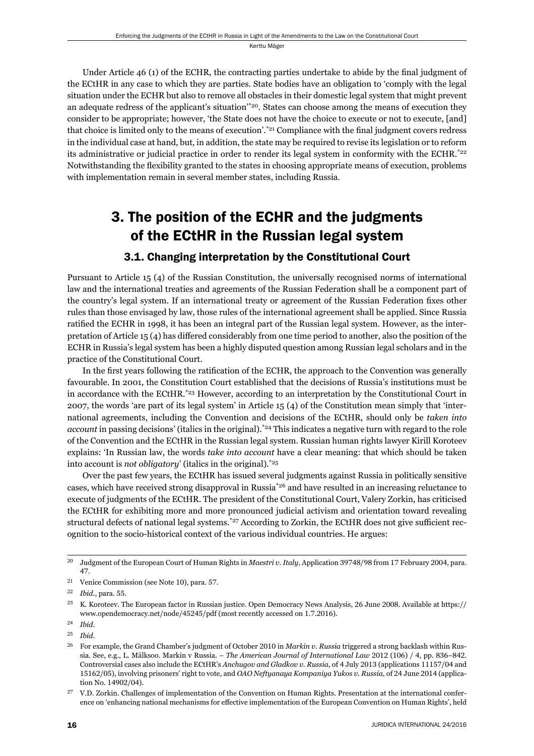Under Article 46 (1) of the ECHR, the contracting parties undertake to abide by the final judgment of the ECtHR in any case to which they are parties. State bodies have an obligation to 'comply with the legal situation under the ECHR but also to remove all obstacles in their domestic legal system that might prevent an adequate redress of the applicant's situation'\*20. States can choose among the means of execution they consider to be appropriate; however, 'the State does not have the choice to execute or not to execute, [and] that choice is limited only to the means of execution'. $21$  Compliance with the final judgment covers redress in the individual case at hand, but, in addition, the state may be required to revise its legislation or to reform its administrative or judicial practice in order to render its legal system in conformity with the ECHR.<sup>\*22</sup> Notwithstanding the flexibility granted to the states in choosing appropriate means of execution, problems with implementation remain in several member states, including Russia.

# 3. The position of the ECHR and the judgments of the ECtHR in the Russian legal system

#### 3.1. Changing interpretation by the Constitutional Court

Pursuant to Article 15 (4) of the Russian Constitution, the universally recognised norms of international law and the international treaties and agreements of the Russian Federation shall be a component part of the country's legal system. If an international treaty or agreement of the Russian Federation fixes other rules than those envisaged by law, those rules of the international agreement shall be applied. Since Russia ratified the ECHR in 1998, it has been an integral part of the Russian legal system. However, as the interpretation of Article 15 (4) has differed considerably from one time period to another, also the position of the ECHR in Russia's legal system has been a highly disputed question among Russian legal scholars and in the practice of the Constitutional Court.

In the first years following the ratification of the ECHR, the approach to the Convention was generally favourable. In 2001, the Constitution Court established that the decisions of Russia's institutions must be in accordance with the ECtHR.<sup>\*23</sup> However, according to an interpretation by the Constitutional Court in 2007, the words 'are part of its legal system' in Article 15 (4) of the Constitution mean simply that 'international agreements, including the Convention and decisions of the ECtHR, should only be *taken into account* in passing decisions' (italics in the original).\*24 This indicates a negative turn with regard to the role of the Convention and the ECtHR in the Russian legal system. Russian human rights lawyer Kirill Koroteev explains: 'In Russian law, the words *take into account* have a clear meaning: that which should be taken into account is *not obligatory*' (italics in the original).\*25

Over the past few years, the ECtHR has issued several judgments against Russia in politically sensitive cases, which have received strong disapproval in Russia\*26 and have resulted in an increasing reluctance to execute of judgments of the ECtHR. The president of the Constitutional Court, Valery Zorkin, has criticised the ECtHR for exhibiting more and more pronounced judicial activism and orientation toward revealing structural defects of national legal systems.\*27 According to Zorkin, the ECtHR does not give sufficient recognition to the socio-historical context of the various individual countries. He argues:

<sup>&</sup>lt;sup>20</sup> Judgment of the European Court of Human Rights in *Maestri v. Italy*, Application 39748/98 from 17 February 2004, para. ɵɸ.

 $21$  Venice Commission (see Note 10), para.  $57$ .

<sup>&</sup>lt;sup>22</sup> *Ibid.*, para. 55.

<sup>&</sup>lt;sup>23</sup> K. Koroteev. The European factor in Russian justice. Open Democracy News Analysis, 26 June 2008. Available at https:// www.opendemocracy.net/node/45245/pdf (most recently accessed on 1.7.2016).

ɳɵ *Ibid*.

ɳɶ *Ibid*.

<sup>&</sup>lt;sup>26</sup> For example, the Grand Chamber's judgment of October 2010 in *Markin v. Russia* triggered a strong backlash within Russia. See, e.g., L. Mälksoo. Markin v Russia. – *The American Journal of International Law* 2012 (106) / 4, pp. 836-842. Controversial cases also include the ECtHR's *Anchugov and Gladkov v. Russia*, of 4 July 2013 (applications 11157/04 and 15162/05), involving prisoners' right to vote, and *OAO Neftyanaya Kompaniya Yukos v. Russia*, of 24 June 2014 (application No. 14902/04).

 $27$  V.D. Zorkin. Challenges of implementation of the Convention on Human Rights. Presentation at the international conference on 'enhancing national mechanisms for effective implementation of the European Convention on Human Rights', held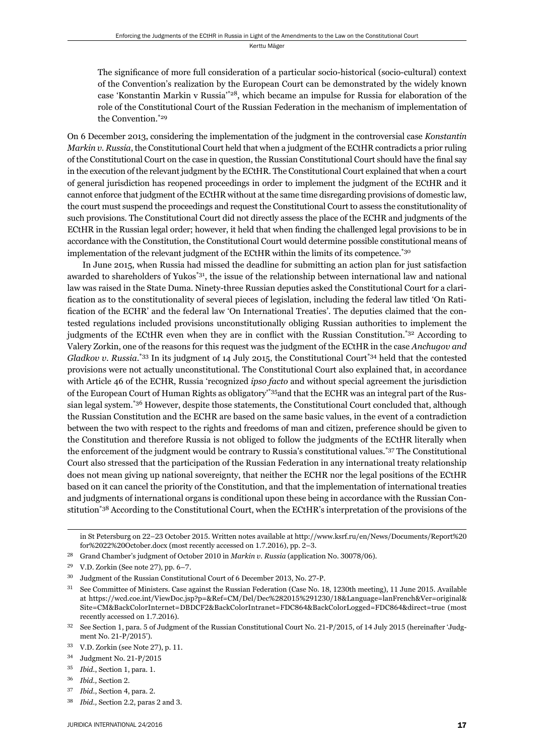The significance of more full consideration of a particular socio-historical (socio-cultural) context of the Convention's realization by the European Court can be demonstrated by the widely known case 'Konstantin Markin v Russia'\*28, which became an impulse for Russia for elaboration of the role of the Constitutional Court of the Russian Federation in the mechanism of implementation of the Convention.\*29

On 6 December 2013, considering the implementation of the judgment in the controversial case *Konstantin Markin v. Russia*, the Constitutional Court held that when a judgment of the ECtHR contradicts a prior ruling of the Constitutional Court on the case in question, the Russian Constitutional Court should have the final say in the execution of the relevant judgment by the ECtHR. The Constitutional Court explained that when a court of general jurisdiction has reopened proceedings in order to implement the judgment of the ECtHR and it cannot enforce that judgment of the ECtHR without at the same time disregarding provisions of domestic law, the court must suspend the proceedings and request the Constitutional Court to assess the constitutionality of such provisions. The Constitutional Court did not directly assess the place of the ECHR and judgments of the ECtHR in the Russian legal order; however, it held that when finding the challenged legal provisions to be in accordance with the Constitution, the Constitutional Court would determine possible constitutional means of implementation of the relevant judgment of the ECtHR within the limits of its competence.\*30

In June 2015, when Russia had missed the deadline for submitting an action plan for just satisfaction awarded to shareholders of Yukos\*31, the issue of the relationship between international law and national law was raised in the State Duma. Ninety-three Russian deputies asked the Constitutional Court for a clarification as to the constitutionality of several pieces of legislation, including the federal law titled 'On Ratification of the ECHR' and the federal law 'On International Treaties'. The deputies claimed that the contested regulations included provisions unconstitutionally obliging Russian authorities to implement the judgments of the ECtHR even when they are in conflict with the Russian Constitution.<sup> $*32$ </sup> According to Valery Zorkin, one of the reasons for this request was the judgment of the ECtHR in the case *Anchugov and*  Gladkov v. Russia.<sup>\*33</sup> In its judgment of 14 July 2015, the Constitutional Court<sup>\*34</sup> held that the contested provisions were not actually unconstitutional. The Constitutional Court also explained that, in accordance with Article 46 of the ECHR, Russia 'recognized *ipso facto* and without special agreement the jurisdiction of the European Court of Human Rights as obligatory'\*35and that the ECHR was an integral part of the Russian legal system.\*36 However, despite those statements, the Constitutional Court concluded that, although the Russian Constitution and the ECHR are based on the same basic values, in the event of a contradiction between the two with respect to the rights and freedoms of man and citizen, preference should be given to the Constitution and therefore Russia is not obliged to follow the judgments of the ECtHR literally when the enforcement of the judgment would be contrary to Russia's constitutional values.\*37 The Constitutional Court also stressed that the participation of the Russian Federation in any international treaty relationship does not mean giving up national sovereignty, that neither the ECHR nor the legal positions of the ECtHR based on it can cancel the priority of the Constitution, and that the implementation of international treaties and judgments of international organs is conditional upon these being in accordance with the Russian Constitution\*38 According to the Constitutional Court, when the ECtHR's interpretation of the provisions of the

in St Petersburg on 22–23 October 2015. Written notes available at http://www.ksrf.ru/en/News/Documents/Report%20 for%2022%20October.docx (most recently accessed on  $1.7.2016$ ), pp.  $2-3$ .

<sup>&</sup>lt;sup>28</sup> Grand Chamber's judgment of October 2010 in *Markin v. Russia* (application No. 30078/06).

 $29$  V.D. Zorkin (See note 27), pp. 6-7.

<sup>&</sup>lt;sup>30</sup> Judgment of the Russian Constitutional Court of 6 December 2013, No. 27-P.

<sup>&</sup>lt;sup>31</sup> See Committee of Ministers. Case against the Russian Federation (Case No. 18, 1230th meeting), 11 June 2015. Available at https://wcd.coe.int/ViewDoc.jsp?p=&Ref=CM/Del/Dec%282015%291230/18&Language=lanFrench&Ver=original& Site=CM&BackColorInternet=DBDCF2&BackColorIntranet=FDC864&BackColorLogged=FDC864&direct=true (most recently accessed on 1.7.2016).

<sup>32</sup> See Section 1, para. 5 of Judgment of the Russian Constitutional Court No. 21-P/2015, of 14 July 2015 (hereinafter 'Judgment No. 21-P/2015').

 $33$  V.D. Zorkin (see Note 27), p. 11.

 $34$  Judgment No. 21-P/2015

<sup>&</sup>lt;sup>35</sup> *Ibid.*, Section 1, para. 1.

<sup>&</sup>lt;sup>36</sup> *Ibid.*, Section 2.

<sup>37</sup> *Ibid.*, Section 4, para. 2.

<sup>&</sup>lt;sup>38</sup> *Ibid.*, Section 2.2, paras 2 and 3.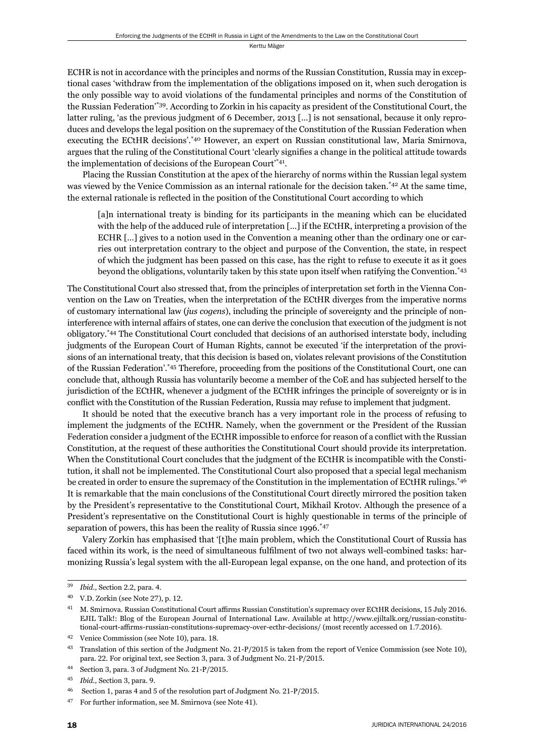ECHR is not in accordance with the principles and norms of the Russian Constitution, Russia may in exceptional cases 'withdraw from the implementation of the obligations imposed on it, when such derogation is the only possible way to avoid violations of the fundamental principles and norms of the Constitution of the Russian Federation'\*39. According to Zorkin in his capacity as president of the Constitutional Court, the latter ruling, 'as the previous judgment of 6 December, 2013 […] is not sensational, because it only reproduces and develops the legal position on the supremacy of the Constitution of the Russian Federation when executing the ECtHR decisions'.<sup>\*40</sup> However, an expert on Russian constitutional law, Maria Smirnova, argues that the ruling of the Constitutional Court 'clearly signifies a change in the political attitude towards the implementation of decisions of the European Court'\*41.

Placing the Russian Constitution at the apex of the hierarchy of norms within the Russian legal system was viewed by the Venice Commission as an internal rationale for the decision taken.\*42 At the same time, the external rationale is reflected in the position of the Constitutional Court according to which

[a]n international treaty is binding for its participants in the meaning which can be elucidated with the help of the adduced rule of interpretation [...] if the ECtHR, interpreting a provision of the ECHR […] gives to a notion used in the Convention a meaning other than the ordinary one or carries out interpretation contrary to the object and purpose of the Convention, the state, in respect of which the judgment has been passed on this case, has the right to refuse to execute it as it goes beyond the obligations, voluntarily taken by this state upon itself when ratifying the Convention.\*43

The Constitutional Court also stressed that, from the principles of interpretation set forth in the Vienna Convention on the Law on Treaties, when the interpretation of the ECtHR diverges from the imperative norms of customary international law (*jus cogens*), including the principle of sovereignty and the principle of noninterference with internal affairs of states, one can derive the conclusion that execution of the judgment is not obligatory.\*44 The Constitutional Court concluded that decisions of an authorised interstate body, including judgments of the European Court of Human Rights, cannot be executed 'if the interpretation of the provisions of an international treaty, that this decision is based on, violates relevant provisions of the Constitution of the Russian Federation'.\*45 Therefore, proceeding from the positions of the Constitutional Court, one can conclude that, although Russia has voluntarily become a member of the CoE and has subjected herself to the jurisdiction of the ECtHR, whenever a judgment of the ECtHR infringes the principle of sovereignty or is in conflict with the Constitution of the Russian Federation, Russia may refuse to implement that judgment.

It should be noted that the executive branch has a very important role in the process of refusing to implement the judgments of the ECtHR. Namely, when the government or the President of the Russian Federation consider a judgment of the ECtHR impossible to enforce for reason of a conflict with the Russian Constitution, at the request of these authorities the Constitutional Court should provide its interpretation. When the Constitutional Court concludes that the judgment of the ECtHR is incompatible with the Constitution, it shall not be implemented. The Constitutional Court also proposed that a special legal mechanism be created in order to ensure the supremacy of the Constitution in the implementation of ECtHR rulings.<sup>\*46</sup> It is remarkable that the main conclusions of the Constitutional Court directly mirrored the position taken by the President's representative to the Constitutional Court, Mikhail Krotov. Although the presence of a President's representative on the Constitutional Court is highly questionable in terms of the principle of separation of powers, this has been the reality of Russia since 1996.<sup>\*47</sup>

Valery Zorkin has emphasised that '[t]he main problem, which the Constitutional Court of Russia has faced within its work, is the need of simultaneous fulfilment of two not always well-combined tasks: harmonizing Russia's legal system with the all-European legal expanse, on the one hand, and protection of its

<sup>&</sup>lt;sup>39</sup> *Ibid.*, Section 2.2, para. 4.

<sup>&</sup>lt;sup>40</sup> V.D. Zorkin (see Note 27), p. 12.

<sup>&</sup>lt;sup>41</sup> M. Smirnova. Russian Constitutional Court affirms Russian Constitution's supremacy over ECtHR decisions, 15 July 2016. EJIL Talk!: Blog of the European Journal of International Law. Available at http://www.ejiltalk.org/russian-constitutional-court-affirms-russian-constitutions-supremacy-over-ecthr-decisions/ (most recently accessed on 1.7.2016).

<sup>&</sup>lt;sup>42</sup> Venice Commission (see Note 10), para. 18.

<sup>&</sup>lt;sup>43</sup> Translation of this section of the Judgment No. 21-P/2015 is taken from the report of Venice Commission (see Note 10), para. 22. For original text, see Section 3, para. 3 of Judgment No. 21-P/2015.

<sup>&</sup>lt;sup>44</sup> Section 3, para. 3 of Judgment No. 21-P/2015.

<sup>&</sup>lt;sup>45</sup> *Ibid.*, Section 3, para. 9.

Section 1, paras 4 and 5 of the resolution part of Judgment No. 21-P/2015.

<sup>&</sup>lt;sup>47</sup> For further information, see M. Smirnova (see Note 41).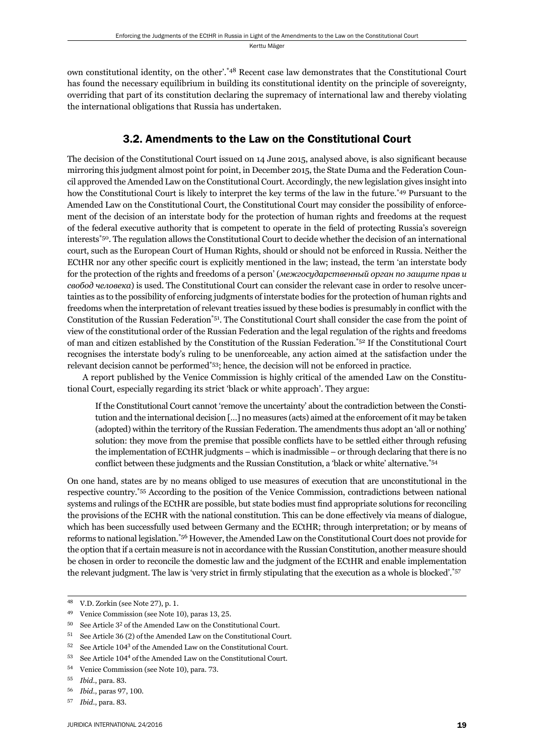own constitutional identity, on the other'.\*48 Recent case law demonstrates that the Constitutional Court has found the necessary equilibrium in building its constitutional identity on the principle of sovereignty, overriding that part of its constitution declaring the supremacy of international law and thereby violating the international obligations that Russia has undertaken.

#### 3.2. Amendments to the Law on the Constitutional Court

The decision of the Constitutional Court issued on 14 June 2015, analysed above, is also significant because mirroring this judgment almost point for point, in December 2015, the State Duma and the Federation Council approved the Amended Law on the Constitutional Court. Accordingly, the new legislation gives insight into how the Constitutional Court is likely to interpret the key terms of the law in the future.\*49 Pursuant to the Amended Law on the Constitutional Court, the Constitutional Court may consider the possibility of enforcement of the decision of an interstate body for the protection of human rights and freedoms at the request of the federal executive authority that is competent to operate in the field of protecting Russia's sovereign interests\*50. The regulation allows the Constitutional Court to decide whether the decision of an international court, such as the European Court of Human Rights, should or should not be enforced in Russia. Neither the ECtHR nor any other specific court is explicitly mentioned in the law; instead, the term 'an interstate body for the protection of the rights and freedoms of a person' (*межгосударственный орган по защите прав и свобод человека*) is used. The Constitutional Court can consider the relevant case in order to resolve uncertainties as to the possibility of enforcing judgments of interstate bodies for the protection of human rights and freedoms when the interpretation of relevant treaties issued by these bodies is presumably in conflict with the Constitution of the Russian Federation\*51. The Constitutional Court shall consider the case from the point of view of the constitutional order of the Russian Federation and the legal regulation of the rights and freedoms of man and citizen established by the Constitution of the Russian Federation.\*52 If the Constitutional Court recognises the interstate body's ruling to be unenforceable, any action aimed at the satisfaction under the relevant decision cannot be performed\*53; hence, the decision will not be enforced in practice.

A report published by the Venice Commission is highly critical of the amended Law on the Constitutional Court, especially regarding its strict 'black or white approach'. They argue:

If the Constitutional Court cannot 'remove the uncertainty' about the contradiction between the Constitution and the international decision […] no measures (acts) aimed at the enforcement of it may be taken (adopted) within the territory of the Russian Federation. The amendments thus adopt an 'all or nothing' solution: they move from the premise that possible conflicts have to be settled either through refusing the implementation of ECtHR judgments – which is inadmissible – or through declaring that there is no conflict between these judgments and the Russian Constitution, a 'black or white' alternative.\*54

On one hand, states are by no means obliged to use measures of execution that are unconstitutional in the respective country.\*55 According to the position of the Venice Commission, contradictions between national systems and rulings of the ECtHR are possible, but state bodies must find appropriate solutions for reconciling the provisions of the ECHR with the national constitution. This can be done effectively via means of dialogue, which has been successfully used between Germany and the ECtHR; through interpretation; or by means of reforms to national legislation.\*56 However, the Amended Law on the Constitutional Court does not provide for the option that if a certain measure is not in accordance with the Russian Constitution, another measure should be chosen in order to reconcile the domestic law and the judgment of the ECtHR and enable implementation the relevant judgment. The law is 'very strict in firmly stipulating that the execution as a whole is blocked'.\*57

<sup>&</sup>lt;sup>48</sup> V.D. Zorkin (see Note 27), p. 1.

<sup>&</sup>lt;sup>49</sup> Venice Commission (see Note 10), paras 13, 25.

 $50$  See Article  $3<sup>2</sup>$  of the Amended Law on the Constitutional Court.

 $51$  See Article 36 (2) of the Amended Law on the Constitutional Court.

 $52$  See Article 104<sup>3</sup> of the Amended Law on the Constitutional Court.

<sup>53</sup> See Article 104<sup>4</sup> of the Amended Law on the Constitutional Court.

<sup>&</sup>lt;sup>54</sup> Venice Commission (see Note 10), para. 73.

<sup>55</sup> *Ibid.*, para. 83.

<sup>56</sup> *Ibid.*, paras 97, 100.

<sup>57</sup> *Ibid.*, para. 83.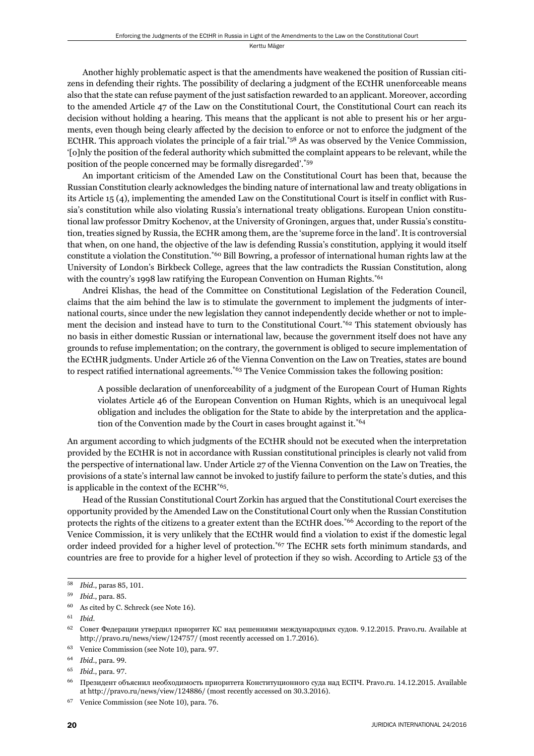Another highly problematic aspect is that the amendments have weakened the position of Russian citizens in defending their rights. The possibility of declaring a judgment of the ECtHR unenforceable means also that the state can refuse payment of the just satisfaction rewarded to an applicant. Moreover, according to the amended Article 47 of the Law on the Constitutional Court, the Constitutional Court can reach its decision without holding a hearing. This means that the applicant is not able to present his or her arguments, even though being clearly affected by the decision to enforce or not to enforce the judgment of the ECtHR. This approach violates the principle of a fair trial.\*58 As was observed by the Venice Commission, '[o]nly the position of the federal authority which submitted the complaint appears to be relevant, while the position of the people concerned may be formally disregarded'.\*59

An important criticism of the Amended Law on the Constitutional Court has been that, because the Russian Constitution clearly acknowledges the binding nature of international law and treaty obligations in its Article 15 (4), implementing the amended Law on the Constitutional Court is itself in conflict with Russia's constitution while also violating Russia's international treaty obligations. European Union constitutional law professor Dmitry Kochenov, at the University of Groningen, argues that, under Russia's constitution, treaties signed by Russia, the ECHR among them, are the 'supreme force in the land'. It is controversial that when, on one hand, the objective of the law is defending Russia's constitution, applying it would itself constitute a violation the Constitution.\*60 Bill Bowring, a professor of international human rights law at the University of London's Birkbeck College, agrees that the law contradicts the Russian Constitution, along with the country's 1998 law ratifying the European Convention on Human Rights.<sup>\*61</sup>

Andrei Klishas, the head of the Committee on Constitutional Legislation of the Federation Council, claims that the aim behind the law is to stimulate the government to implement the judgments of international courts, since under the new legislation they cannot independently decide whether or not to implement the decision and instead have to turn to the Constitutional Court.\*62 This statement obviously has no basis in either domestic Russian or international law, because the government itself does not have any grounds to refuse implementation; on the contrary, the government is obliged to secure implementation of the ECtHR judgments. Under Article 26 of the Vienna Convention on the Law on Treaties, states are bound to respect ratified international agreements.<sup> $*63$ </sup> The Venice Commission takes the following position:

A possible declaration of unenforceability of a judgment of the European Court of Human Rights violates Article 46 of the European Convention on Human Rights, which is an unequivocal legal obligation and includes the obligation for the State to abide by the interpretation and the application of the Convention made by the Court in cases brought against it.\*64

An argument according to which judgments of the ECtHR should not be executed when the interpretation provided by the ECtHR is not in accordance with Russian constitutional principles is clearly not valid from the perspective of international law. Under Article 27 of the Vienna Convention on the Law on Treaties, the provisions of a state's internal law cannot be invoked to justify failure to perform the state's duties, and this is applicable in the context of the ECHR\*65.

Head of the Russian Constitutional Court Zorkin has argued that the Constitutional Court exercises the opportunity provided by the Amended Law on the Constitutional Court only when the Russian Constitution protects the rights of the citizens to a greater extent than the ECtHR does.\*66 According to the report of the Venice Commission, it is very unlikely that the ECtHR would find a violation to exist if the domestic legal order indeed provided for a higher level of protection.\*67 The ECHR sets forth minimum standards, and countries are free to provide for a higher level of protection if they so wish. According to Article 53 of the

<sup>58</sup> *Ibid.*, paras 85, 101.

<sup>59</sup> *Ibid.*, para. 85.

 $60$  As cited by C. Schreck (see Note 16).

ɷɲ *Ibid*.

 $62$  Совет Федерации утвердил приоритет КС над решениями международных судов. 9.12.2015. Pravo.ru. Available at http://pravo.ru/news/view/124757/ (most recently accessed on 1.7.2016).

<sup>&</sup>lt;sup>63</sup> Venice Commission (see Note 10), para. 97.

<sup>64</sup> *Ibid.*, para. 99.

<sup>65</sup> *Ibid.*, para. 97.

<sup>&</sup>lt;sup>66</sup> Президент объяснил необходимость приоритета Конституционного суда над ЕСПЧ. Pravo.ru. 14.12.2015. Available at http://pravo.ru/news/view/124886/ (most recently accessed on 30.3.2016).

<sup>&</sup>lt;sup>67</sup> Venice Commission (see Note 10), para. 76.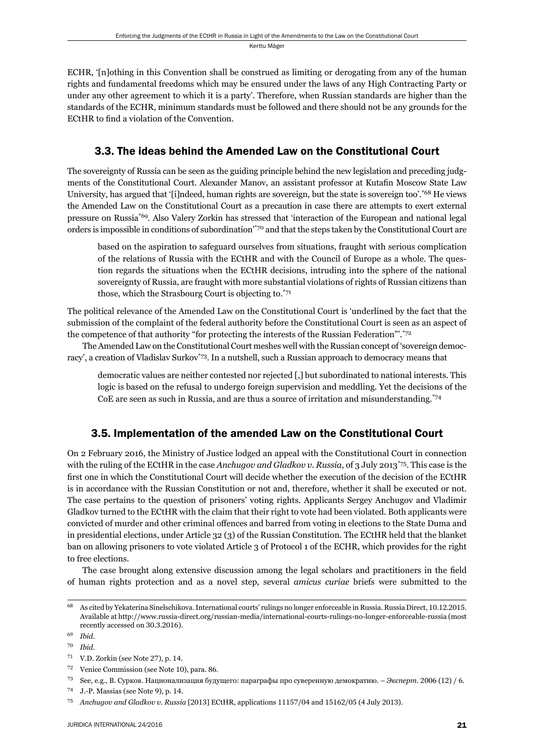ECHR, '[n]othing in this Convention shall be construed as limiting or derogating from any of the human rights and fundamental freedoms which may be ensured under the laws of any High Contracting Party or under any other agreement to which it is a party'. Therefore, when Russian standards are higher than the standards of the ECHR, minimum standards must be followed and there should not be any grounds for the EC<sub>t</sub>HR to find a violation of the Convention.

#### 3.3. The ideas behind the Amended Law on the Constitutional Court

The sovereignty of Russia can be seen as the guiding principle behind the new legislation and preceding judgments of the Constitutional Court. Alexander Manov, an assistant professor at Kutafin Moscow State Law University, has argued that '[i]ndeed, human rights are sovereign, but the state is sovereign too'.\*68 He views the Amended Law on the Constitutional Court as a precaution in case there are attempts to exert external pressure on Russia\*69. Also Valery Zorkin has stressed that 'interaction of the European and national legal orders is impossible in conditions of subordination'\*70 and that the steps taken by the Constitutional Court are

based on the aspiration to safeguard ourselves from situations, fraught with serious complication of the relations of Russia with the ECtHR and with the Council of Europe as a whole. The question regards the situations when the ECtHR decisions, intruding into the sphere of the national sovereignty of Russia, are fraught with more substantial violations of rights of Russian citizens than those, which the Strasbourg Court is objecting to.\*71

The political relevance of the Amended Law on the Constitutional Court is 'underlined by the fact that the submission of the complaint of the federal authority before the Constitutional Court is seen as an aspect of the competence of that authority "for protecting the interests of the Russian Federation".<sup>\*72</sup>

The Amended Law on the Constitutional Court meshes well with the Russian concept of 'sovereign democracy', a creation of Vladislav Surkov\*73. In a nutshell, such a Russian approach to democracy means that

democratic values are neither contested nor rejected [,] but subordinated to national interests. This logic is based on the refusal to undergo foreign supervision and meddling. Yet the decisions of the CoE are seen as such in Russia, and are thus a source of irritation and misunderstanding.\*74

#### 3.5. Implementation of the amended Law on the Constitutional Court

On 2 February 2016, the Ministry of Justice lodged an appeal with the Constitutional Court in connection with the ruling of the ECtHR in the case *Anchugov and Gladkov v. Russia*, of 3 July 2013<sup>\*75</sup>. This case is the first one in which the Constitutional Court will decide whether the execution of the decision of the ECtHR is in accordance with the Russian Constitution or not and, therefore, whether it shall be executed or not. The case pertains to the question of prisoners' voting rights. Applicants Sergey Anchugov and Vladimir Gladkov turned to the ECtHR with the claim that their right to vote had been violated. Both applicants were convicted of murder and other criminal offences and barred from voting in elections to the State Duma and in presidential elections, under Article 32 (3) of the Russian Constitution. The ECtHR held that the blanket ban on allowing prisoners to vote violated Article 3 of Protocol 1 of the ECHR, which provides for the right to free elections.

The case brought along extensive discussion among the legal scholars and practitioners in the field of human rights protection and as a novel step, several *amicus curiae* briefs were submitted to the

<sup>72</sup> Venice Commission (see Note 10), para. 86.

<sup>&</sup>lt;sup>68</sup> As cited by Yekaterina Sinelschikova. International courts' rulings no longer enforceable in Russia. Russia Direct, 10.12.2015. Available at http://www.russia-direct.org/russian-media/international-courts-rulings-no-longer-enforceable-russia (most recently accessed on 30.3.2016).

ɷɺ *Ibid*.

ɸɱ *Ibid*.

 $71$  V.D. Zorkin (see Note 27), p. 14.

<sup>&</sup>lt;sup>73</sup> See, e.g., В. Сурков. Национализация будущего: параграфы про суверенную демократию. – Эксперт. 2006 (12) / 6.

 $^{74}$  J.-P. Massias (see Note 9), p. 14.

<sup>&</sup>lt;sup>75</sup> Anchugov and Gladkov v. Russia [2013] ECtHR, applications 11157/04 and 15162/05 (4 July 2013).